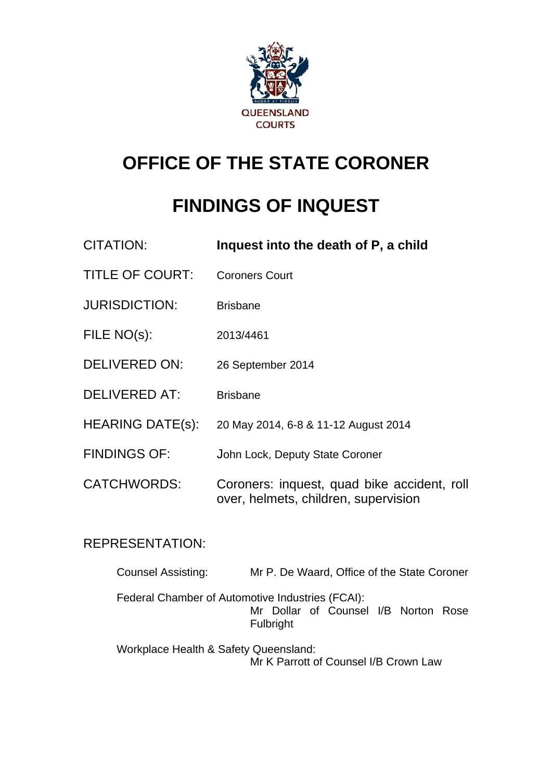

# **OFFICE OF THE STATE CORONER**

# **FINDINGS OF INQUEST**

| <b>CITATION:</b>        | Inquest into the death of P, a child                                                |
|-------------------------|-------------------------------------------------------------------------------------|
| <b>TITLE OF COURT:</b>  | <b>Coroners Court</b>                                                               |
| <b>JURISDICTION:</b>    | <b>Brisbane</b>                                                                     |
| FILE NO(s):             | 2013/4461                                                                           |
| <b>DELIVERED ON:</b>    | 26 September 2014                                                                   |
| <b>DELIVERED AT:</b>    | <b>Brisbane</b>                                                                     |
| <b>HEARING DATE(s):</b> | 20 May 2014, 6-8 & 11-12 August 2014                                                |
| <b>FINDINGS OF:</b>     | John Lock, Deputy State Coroner                                                     |
| <b>CATCHWORDS:</b>      | Coroners: inquest, quad bike accident, roll<br>over, helmets, children, supervision |

## REPRESENTATION:

| <b>Counsel Assisting:</b>             | Mr P. De Waard, Office of the State Coroner                                                                  |
|---------------------------------------|--------------------------------------------------------------------------------------------------------------|
|                                       | Federal Chamber of Automotive Industries (FCAI):<br>Mr Dollar of Counsel I/B Norton Rose<br><b>Fulbright</b> |
| Workplace Health & Safety Queensland: |                                                                                                              |

Mr K Parrott of Counsel I/B Crown Law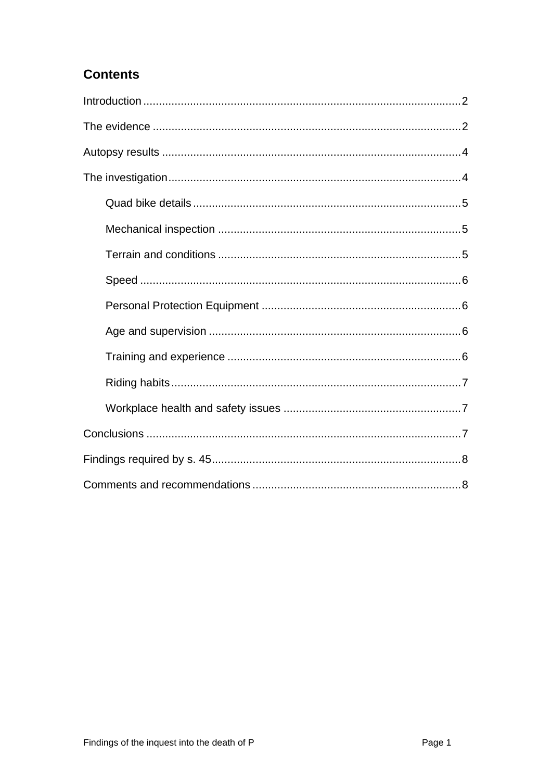## **Contents**

<span id="page-1-0"></span>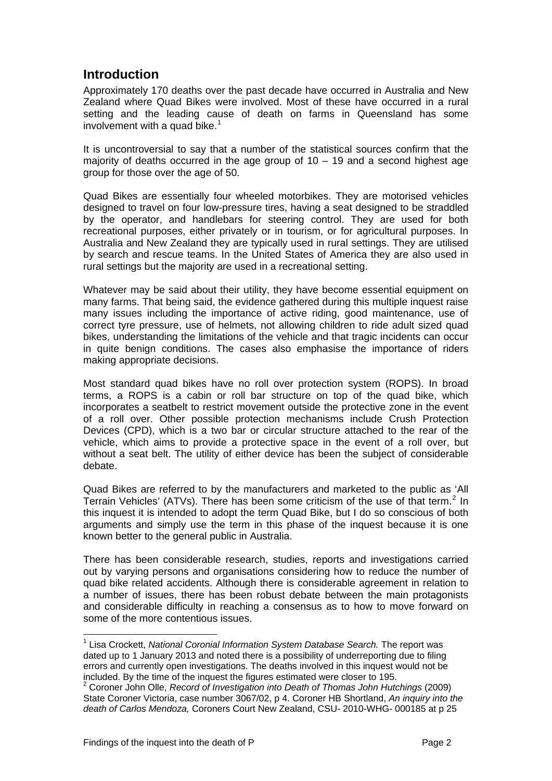## **Introduction**

<span id="page-2-0"></span>Approximately 170 deaths over the past decade have occurred in Australia and New Zealand where Quad Bikes were involved. Most of these have occurred in a rural setting and the leading cause of death on farms in Queensland has some involvement with a quad bike. $1$ 

It is uncontroversial to say that a number of the statistical sources confirm that the majority of deaths occurred in the age group of  $10 - 19$  and a second highest age group for those over the age of 50.

Quad Bikes are essentially four wheeled motorbikes. They are motorised vehicles designed to travel on four low-pressure tires, having a seat designed to be straddled by the operator, and handlebars for steering control. They are used for both recreational purposes, either privately or in tourism, or for agricultural purposes. In Australia and New Zealand they are typically used in rural settings. They are utilised by search and rescue teams. In the United States of America they are also used in rural settings but the majority are used in a recreational setting.

Whatever may be said about their utility, they have become essential equipment on many farms. That being said, the evidence gathered during this multiple inquest raise many issues including the importance of active riding, good maintenance, use of correct tyre pressure, use of helmets, not allowing children to ride adult sized quad bikes, understanding the limitations of the vehicle and that tragic incidents can occur in quite benign conditions. The cases also emphasise the importance of riders making appropriate decisions.

Most standard quad bikes have no roll over protection system (ROPS). In broad terms, a ROPS is a cabin or roll bar structure on top of the quad bike, which incorporates a seatbelt to restrict movement outside the protective zone in the event of a roll over. Other possible protection mechanisms include Crush Protection Devices (CPD), which is a two bar or circular structure attached to the rear of the vehicle, which aims to provide a protective space in the event of a roll over, but without a seat belt. The utility of either device has been the subject of considerable debate.

Quad Bikes are referred to by the manufacturers and marketed to the public as 'All Terrain Vehicles' (ATVs). There has been some criticism of the use of that term.<sup>[2](#page-2-1)</sup> In this inquest it is intended to adopt the term Quad Bike, but I do so conscious of both arguments and simply use the term in this phase of the inquest because it is one known better to the general public in Australia.

There has been considerable research, studies, reports and investigations carried out by varying persons and organisations considering how to reduce the number of quad bike related accidents. Although there is considerable agreement in relation to a number of issues, there has been robust debate between the main protagonists and considerable difficulty in reaching a consensus as to how to move forward on some of the more contentious issues.

l

<sup>&</sup>lt;sup>1</sup> Lisa Crockett, *National Coronial Information System Database Search.* The report was dated up to 1 January 2013 and noted there is a possibility of underreporting due to filing errors and currently open investigations. The deaths involved in this inquest would not be included. By the time of the inquest the figures estimated were closer to 195. 2

<span id="page-2-1"></span><sup>&</sup>lt;sup>2</sup> Coroner John Olle, *Record of Investigation into Death of Thomas John Hutchings (2009)* State Coroner Victoria, case number 3067/02, p 4. Coroner HB Shortland, *An inquiry into the death of Carlos Mendoza,* Coroners Court New Zealand, CSU- 2010-WHG- 000185 at p 25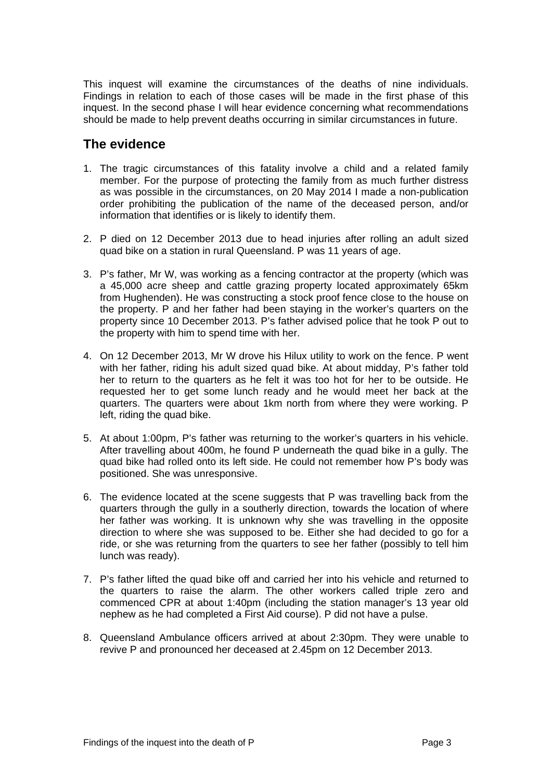<span id="page-3-0"></span>This inquest will examine the circumstances of the deaths of nine individuals. Findings in relation to each of those cases will be made in the first phase of this inquest. In the second phase I will hear evidence concerning what recommendations should be made to help prevent deaths occurring in similar circumstances in future.

## **The evidence**

- 1. The tragic circumstances of this fatality involve a child and a related family member. For the purpose of protecting the family from as much further distress as was possible in the circumstances, on 20 May 2014 I made a non-publication order prohibiting the publication of the name of the deceased person, and/or information that identifies or is likely to identify them.
- 2. P died on 12 December 2013 due to head injuries after rolling an adult sized quad bike on a station in rural Queensland. P was 11 years of age.
- 3. P's father, Mr W, was working as a fencing contractor at the property (which was a 45,000 acre sheep and cattle grazing property located approximately 65km from Hughenden). He was constructing a stock proof fence close to the house on the property. P and her father had been staying in the worker's quarters on the property since 10 December 2013. P's father advised police that he took P out to the property with him to spend time with her.
- 4. On 12 December 2013, Mr W drove his Hilux utility to work on the fence. P went with her father, riding his adult sized quad bike. At about midday, P's father told her to return to the quarters as he felt it was too hot for her to be outside. He requested her to get some lunch ready and he would meet her back at the quarters. The quarters were about 1km north from where they were working. P left, riding the quad bike.
- 5. At about 1:00pm, P's father was returning to the worker's quarters in his vehicle. After travelling about 400m, he found P underneath the quad bike in a gully. The quad bike had rolled onto its left side. He could not remember how P's body was positioned. She was unresponsive.
- 6. The evidence located at the scene suggests that P was travelling back from the quarters through the gully in a southerly direction, towards the location of where her father was working. It is unknown why she was travelling in the opposite direction to where she was supposed to be. Either she had decided to go for a ride, or she was returning from the quarters to see her father (possibly to tell him lunch was ready).
- 7. P's father lifted the quad bike off and carried her into his vehicle and returned to the quarters to raise the alarm. The other workers called triple zero and commenced CPR at about 1:40pm (including the station manager's 13 year old nephew as he had completed a First Aid course). P did not have a pulse.
- 8. Queensland Ambulance officers arrived at about 2:30pm. They were unable to revive P and pronounced her deceased at 2.45pm on 12 December 2013.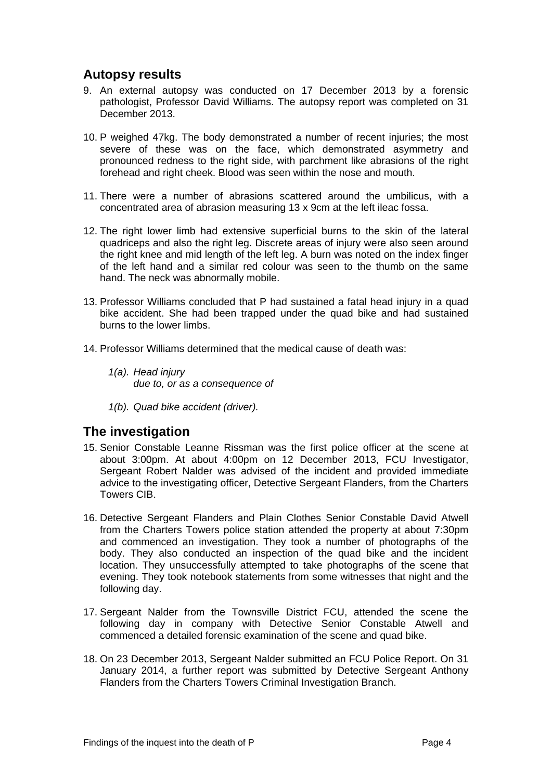## <span id="page-4-0"></span>**Autopsy results**

- 9. An external autopsy was conducted on 17 December 2013 by a forensic pathologist, Professor David Williams. The autopsy report was completed on 31 December 2013.
- 10. P weighed 47kg. The body demonstrated a number of recent injuries; the most severe of these was on the face, which demonstrated asymmetry and pronounced redness to the right side, with parchment like abrasions of the right forehead and right cheek. Blood was seen within the nose and mouth.
- 11. There were a number of abrasions scattered around the umbilicus, with a concentrated area of abrasion measuring 13 x 9cm at the left ileac fossa.
- 12. The right lower limb had extensive superficial burns to the skin of the lateral quadriceps and also the right leg. Discrete areas of injury were also seen around the right knee and mid length of the left leg. A burn was noted on the index finger of the left hand and a similar red colour was seen to the thumb on the same hand. The neck was abnormally mobile.
- 13. Professor Williams concluded that P had sustained a fatal head injury in a quad bike accident. She had been trapped under the quad bike and had sustained burns to the lower limbs.
- 14. Professor Williams determined that the medical cause of death was:
	- *1(a). Head injury due to, or as a consequence of*
	- *1(b). Quad bike accident (driver).*

## <span id="page-4-1"></span>**The investigation**

- 15. Senior Constable Leanne Rissman was the first police officer at the scene at about 3:00pm. At about 4:00pm on 12 December 2013, FCU Investigator, Sergeant Robert Nalder was advised of the incident and provided immediate advice to the investigating officer, Detective Sergeant Flanders, from the Charters Towers CIB.
- 16. Detective Sergeant Flanders and Plain Clothes Senior Constable David Atwell from the Charters Towers police station attended the property at about 7:30pm and commenced an investigation. They took a number of photographs of the body. They also conducted an inspection of the quad bike and the incident location. They unsuccessfully attempted to take photographs of the scene that evening. They took notebook statements from some witnesses that night and the following day.
- 17. Sergeant Nalder from the Townsville District FCU, attended the scene the following day in company with Detective Senior Constable Atwell and commenced a detailed forensic examination of the scene and quad bike.
- 18. On 23 December 2013, Sergeant Nalder submitted an FCU Police Report. On 31 January 2014, a further report was submitted by Detective Sergeant Anthony Flanders from the Charters Towers Criminal Investigation Branch.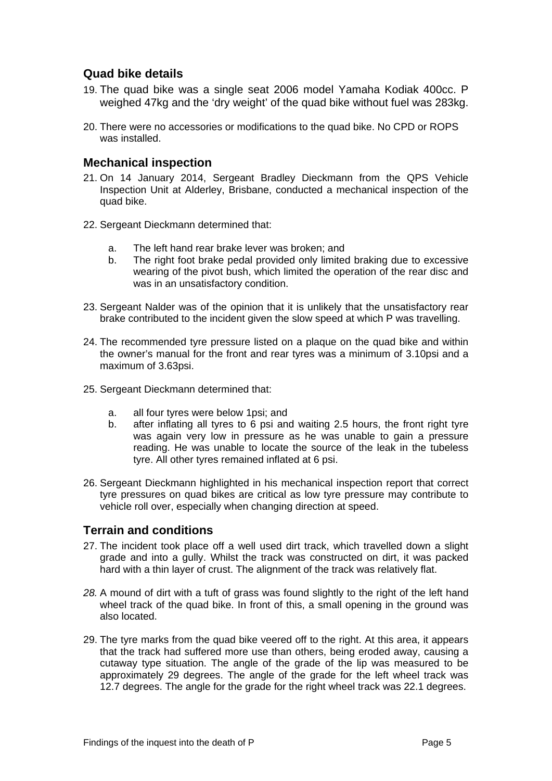### <span id="page-5-0"></span>**Quad bike details**

- 19. The quad bike was a single seat 2006 model Yamaha Kodiak 400cc. P weighed 47kg and the 'dry weight' of the quad bike without fuel was 283kg.
- 20. There were no accessories or modifications to the quad bike. No CPD or ROPS was installed.

#### <span id="page-5-1"></span>**Mechanical inspection**

- 21. On 14 January 2014, Sergeant Bradley Dieckmann from the QPS Vehicle Inspection Unit at Alderley, Brisbane, conducted a mechanical inspection of the quad bike.
- 22. Sergeant Dieckmann determined that:
	- a. The left hand rear brake lever was broken; and
	- b. The right foot brake pedal provided only limited braking due to excessive wearing of the pivot bush, which limited the operation of the rear disc and was in an unsatisfactory condition.
- 23. Sergeant Nalder was of the opinion that it is unlikely that the unsatisfactory rear brake contributed to the incident given the slow speed at which P was travelling.
- 24. The recommended tyre pressure listed on a plaque on the quad bike and within the owner's manual for the front and rear tyres was a minimum of 3.10psi and a maximum of 3.63psi.
- 25. Sergeant Dieckmann determined that:
	- a. all four tyres were below 1psi; and
	- b. after inflating all tyres to 6 psi and waiting 2.5 hours, the front right tyre was again very low in pressure as he was unable to gain a pressure reading. He was unable to locate the source of the leak in the tubeless tyre. All other tyres remained inflated at 6 psi.
- 26. Sergeant Dieckmann highlighted in his mechanical inspection report that correct tyre pressures on quad bikes are critical as low tyre pressure may contribute to vehicle roll over, especially when changing direction at speed.

#### <span id="page-5-2"></span>**Terrain and conditions**

- 27. The incident took place off a well used dirt track, which travelled down a slight grade and into a gully. Whilst the track was constructed on dirt, it was packed hard with a thin layer of crust. The alignment of the track was relatively flat.
- *28.* A mound of dirt with a tuft of grass was found slightly to the right of the left hand wheel track of the quad bike. In front of this, a small opening in the ground was also located.
- 29. The tyre marks from the quad bike veered off to the right. At this area, it appears that the track had suffered more use than others, being eroded away, causing a cutaway type situation. The angle of the grade of the lip was measured to be approximately 29 degrees. The angle of the grade for the left wheel track was 12.7 degrees. The angle for the grade for the right wheel track was 22.1 degrees.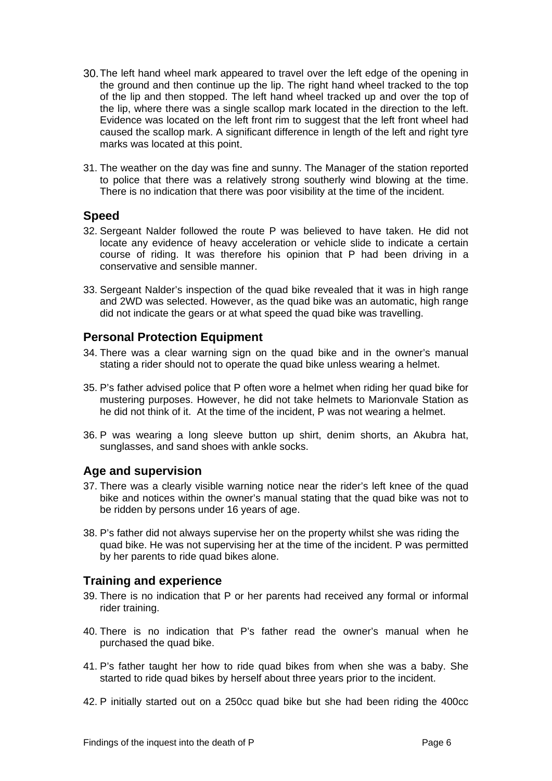- 30.The left hand wheel mark appeared to travel over the left edge of the opening in the ground and then continue up the lip. The right hand wheel tracked to the top of the lip and then stopped. The left hand wheel tracked up and over the top of the lip, where there was a single scallop mark located in the direction to the left. Evidence was located on the left front rim to suggest that the left front wheel had caused the scallop mark. A significant difference in length of the left and right tyre marks was located at this point.
- 31. The weather on the day was fine and sunny. The Manager of the station reported to police that there was a relatively strong southerly wind blowing at the time. There is no indication that there was poor visibility at the time of the incident.

#### <span id="page-6-0"></span>**Speed**

- 32. Sergeant Nalder followed the route P was believed to have taken. He did not locate any evidence of heavy acceleration or vehicle slide to indicate a certain course of riding. It was therefore his opinion that P had been driving in a conservative and sensible manner.
- 33. Sergeant Nalder's inspection of the quad bike revealed that it was in high range and 2WD was selected. However, as the quad bike was an automatic, high range did not indicate the gears or at what speed the quad bike was travelling.

#### <span id="page-6-1"></span>**Personal Protection Equipment**

- 34. There was a clear warning sign on the quad bike and in the owner's manual stating a rider should not to operate the quad bike unless wearing a helmet.
- 35. P's father advised police that P often wore a helmet when riding her quad bike for mustering purposes. However, he did not take helmets to Marionvale Station as he did not think of it. At the time of the incident, P was not wearing a helmet.
- 36. P was wearing a long sleeve button up shirt, denim shorts, an Akubra hat, sunglasses, and sand shoes with ankle socks.

#### <span id="page-6-2"></span>**Age and supervision**

- 37. There was a clearly visible warning notice near the rider's left knee of the quad bike and notices within the owner's manual stating that the quad bike was not to be ridden by persons under 16 years of age.
- 38. P's father did not always supervise her on the property whilst she was riding the quad bike. He was not supervising her at the time of the incident. P was permitted by her parents to ride quad bikes alone.

#### <span id="page-6-3"></span>**Training and experience**

- 39. There is no indication that P or her parents had received any formal or informal rider training.
- 40. There is no indication that P's father read the owner's manual when he purchased the quad bike.
- 41. P's father taught her how to ride quad bikes from when she was a baby. She started to ride quad bikes by herself about three years prior to the incident.
- 42. P initially started out on a 250cc quad bike but she had been riding the 400cc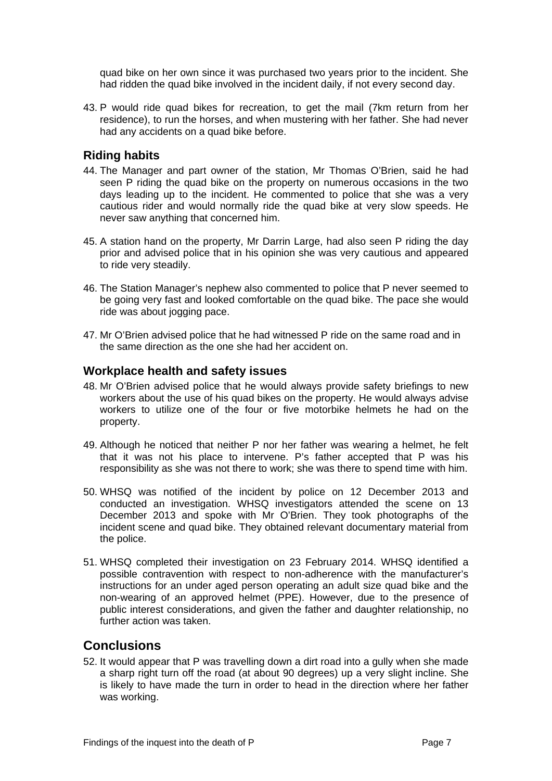quad bike on her own since it was purchased two years prior to the incident. She had ridden the quad bike involved in the incident daily, if not every second day.

43. P would ride quad bikes for recreation, to get the mail (7km return from her residence), to run the horses, and when mustering with her father. She had never had any accidents on a quad bike before.

#### <span id="page-7-0"></span>**Riding habits**

- 44. The Manager and part owner of the station, Mr Thomas O'Brien, said he had seen P riding the quad bike on the property on numerous occasions in the two days leading up to the incident. He commented to police that she was a very cautious rider and would normally ride the quad bike at very slow speeds. He never saw anything that concerned him.
- 45. A station hand on the property, Mr Darrin Large, had also seen P riding the day prior and advised police that in his opinion she was very cautious and appeared to ride very steadily.
- 46. The Station Manager's nephew also commented to police that P never seemed to be going very fast and looked comfortable on the quad bike. The pace she would ride was about jogging pace.
- 47. Mr O'Brien advised police that he had witnessed P ride on the same road and in the same direction as the one she had her accident on.

#### <span id="page-7-1"></span>**Workplace health and safety issues**

- 48. Mr O'Brien advised police that he would always provide safety briefings to new workers about the use of his quad bikes on the property. He would always advise workers to utilize one of the four or five motorbike helmets he had on the property.
- 49. Although he noticed that neither P nor her father was wearing a helmet, he felt that it was not his place to intervene. P's father accepted that P was his responsibility as she was not there to work; she was there to spend time with him.
- 50. WHSQ was notified of the incident by police on 12 December 2013 and conducted an investigation. WHSQ investigators attended the scene on 13 December 2013 and spoke with Mr O'Brien. They took photographs of the incident scene and quad bike. They obtained relevant documentary material from the police.
- 51. WHSQ completed their investigation on 23 February 2014. WHSQ identified a possible contravention with respect to non-adherence with the manufacturer's instructions for an under aged person operating an adult size quad bike and the non-wearing of an approved helmet (PPE). However, due to the presence of public interest considerations, and given the father and daughter relationship, no further action was taken.

## <span id="page-7-2"></span>**Conclusions**

52. It would appear that P was travelling down a dirt road into a gully when she made a sharp right turn off the road (at about 90 degrees) up a very slight incline. She is likely to have made the turn in order to head in the direction where her father was working.